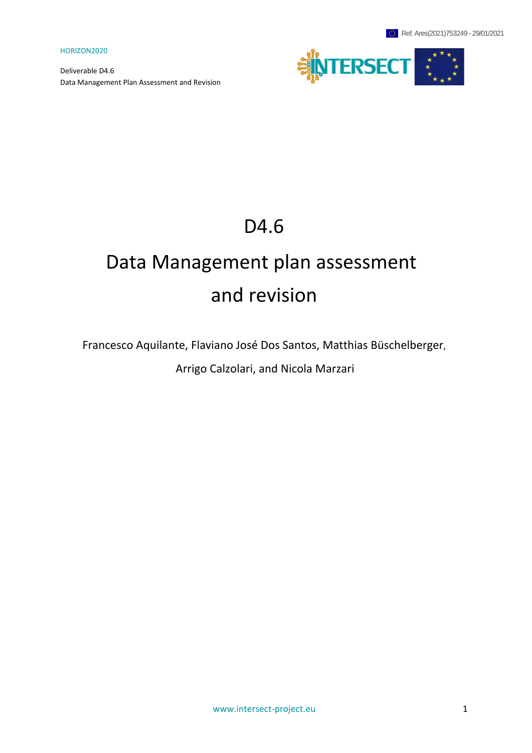Deliverable D4.6 Data Management Plan Assessment and Revision



# D4.6

# Data Management plan assessment and revision

Francesco Aquilante, Flaviano José Dos Santos, Matthias Büschelberger,

Arrigo Calzolari, and Nicola Marzari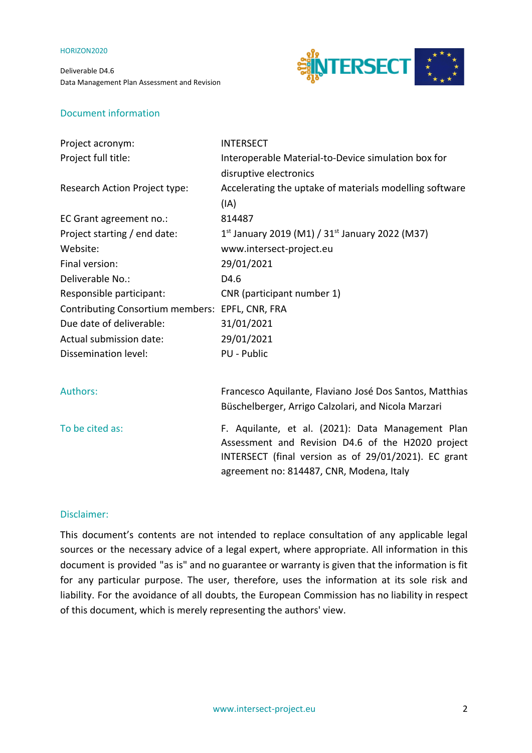Deliverable D4.6 Data Management Plan Assessment and Revision



# Document information

| <b>INTERSECT</b>                                                                                                                                                                                           |
|------------------------------------------------------------------------------------------------------------------------------------------------------------------------------------------------------------|
| Interoperable Material-to-Device simulation box for                                                                                                                                                        |
| disruptive electronics                                                                                                                                                                                     |
| Accelerating the uptake of materials modelling software                                                                                                                                                    |
| (IA)                                                                                                                                                                                                       |
| 814487                                                                                                                                                                                                     |
| 1st January 2019 (M1) / $31st$ January 2022 (M37)                                                                                                                                                          |
| www.intersect-project.eu                                                                                                                                                                                   |
| 29/01/2021                                                                                                                                                                                                 |
| D4.6                                                                                                                                                                                                       |
| CNR (participant number 1)                                                                                                                                                                                 |
| Contributing Consortium members: EPFL, CNR, FRA                                                                                                                                                            |
| 31/01/2021                                                                                                                                                                                                 |
| 29/01/2021                                                                                                                                                                                                 |
| PU - Public                                                                                                                                                                                                |
|                                                                                                                                                                                                            |
| Francesco Aquilante, Flaviano José Dos Santos, Matthias                                                                                                                                                    |
| Büschelberger, Arrigo Calzolari, and Nicola Marzari                                                                                                                                                        |
| F. Aquilante, et al. (2021): Data Management Plan<br>Assessment and Revision D4.6 of the H2020 project<br>INTERSECT (final version as of 29/01/2021). EC grant<br>agreement no: 814487, CNR, Modena, Italy |
|                                                                                                                                                                                                            |

## Disclaimer:

This document's contents are not intended to replace consultation of any applicable legal sources or the necessary advice of a legal expert, where appropriate. All information in this document is provided "as is" and no guarantee or warranty is given that the information is fit for any particular purpose. The user, therefore, uses the information at its sole risk and liability. For the avoidance of all doubts, the European Commission has no liability in respect of this document, which is merely representing the authors' view.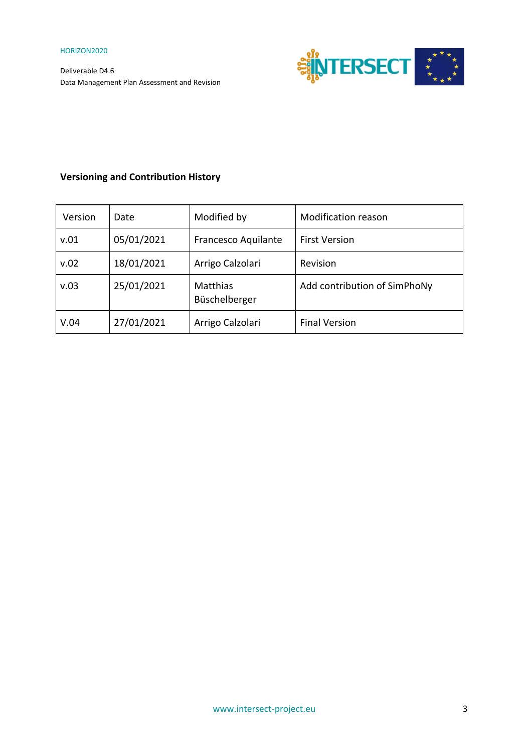

# **Versioning and Contribution History**

| Version | Date       | Modified by                      | <b>Modification reason</b>   |
|---------|------------|----------------------------------|------------------------------|
| v.01    | 05/01/2021 | Francesco Aquilante              | <b>First Version</b>         |
| v.02    | 18/01/2021 | Arrigo Calzolari                 | Revision                     |
| v.03    | 25/01/2021 | <b>Matthias</b><br>Büschelberger | Add contribution of SimPhoNy |
| V.04    | 27/01/2021 | Arrigo Calzolari                 | <b>Final Version</b>         |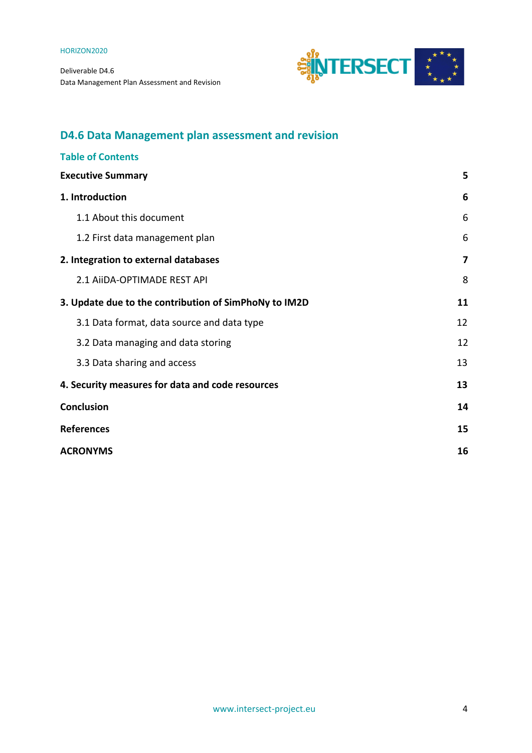

# **D4.6 Data Management plan assessment and revision**

| <b>Table of Contents</b>                              |    |  |
|-------------------------------------------------------|----|--|
| <b>Executive Summary</b>                              | 5  |  |
| 1. Introduction                                       | 6  |  |
| 1.1 About this document                               | 6  |  |
| 1.2 First data management plan                        | 6  |  |
| 2. Integration to external databases                  | 7  |  |
| 2.1 AIIDA-OPTIMADE REST API                           | 8  |  |
| 3. Update due to the contribution of SimPhoNy to IM2D | 11 |  |
| 3.1 Data format, data source and data type            | 12 |  |
| 3.2 Data managing and data storing                    | 12 |  |
| 3.3 Data sharing and access                           | 13 |  |
| 4. Security measures for data and code resources      | 13 |  |
| <b>Conclusion</b>                                     | 14 |  |
| <b>References</b>                                     |    |  |
| <b>ACRONYMS</b>                                       |    |  |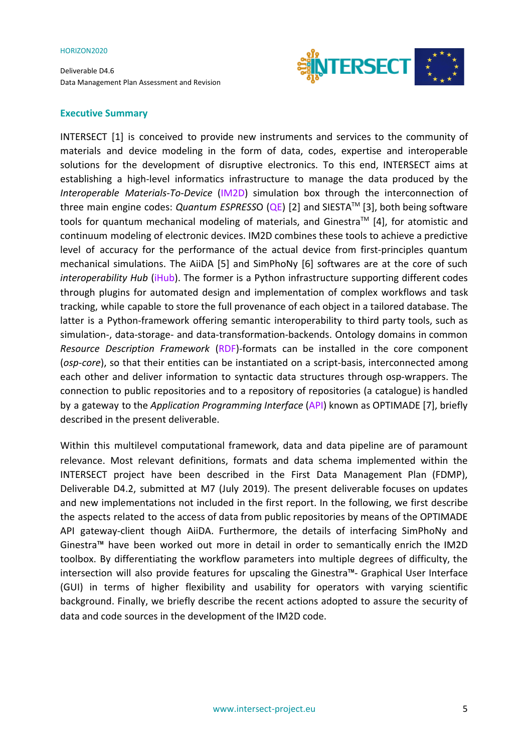Deliverable D4.6 Data Management Plan Assessment and Revision



## <span id="page-4-0"></span>**Executive Summary**

INTERSECT [1] is conceived to provide new instruments and services to the community of materials and device modeling in the form of data, codes, expertise and interoperable solutions for the development of disruptive electronics. To this end, INTERSECT aims at establishing a high-level informatics infrastructure to manage the data produced by the *Interoperable Materials-To-Device* (IM2D) simulation box through the interconnection of three main engine codes: *Quantum ESPRESS*O (QE) [2] and SIESTATM [3], both being software tools for quantum mechanical modeling of materials, and Ginestra<sup>TM</sup> [4], for atomistic and continuum modeling of electronic devices. IM2D combines these tools to achieve a predictive level of accuracy for the performance of the actual device from first-principles quantum mechanical simulations. The AiiDA [5] and SimPhoNy [6] softwares are at the core of such *interoperability Hub* (iHub). The former is a Python infrastructure supporting different codes through plugins for automated design and implementation of complex workflows and task tracking, while capable to store the full provenance of each object in a tailored database. The latter is a Python-framework offering semantic interoperability to third party tools, such as simulation-, data-storage- and data-transformation-backends. Ontology domains in common *Resource Description Framework* (RDF)-formats can be installed in the core component (*osp-core*), so that their entities can be instantiated on a script-basis, interconnected among each other and deliver information to syntactic data structures through osp-wrappers. The connection to public repositories and to a repository of repositories (a catalogue) is handled by a gateway to the *Application Programming Interface* (API) known as OPTIMADE [7], briefly described in the present deliverable.

Within this multilevel computational framework, data and data pipeline are of paramount relevance. Most relevant definitions, formats and data schema implemented within the INTERSECT project have been described in the First Data Management Plan (FDMP), Deliverable D4.2, submitted at M7 (July 2019). The present deliverable focuses on updates and new implementations not included in the first report. In the following, we first describe the aspects related to the access of data from public repositories by means of the OPTIMADE API gateway-client though AiiDA. Furthermore, the details of interfacing SimPhoNy and Ginestra™ have been worked out more in detail in order to semantically enrich the IM2D toolbox. By differentiating the workflow parameters into multiple degrees of difficulty, the intersection will also provide features for upscaling the Ginestra™- Graphical User Interface (GUI) in terms of higher flexibility and usability for operators with varying scientific background. Finally, we briefly describe the recent actions adopted to assure the security of data and code sources in the development of the IM2D code.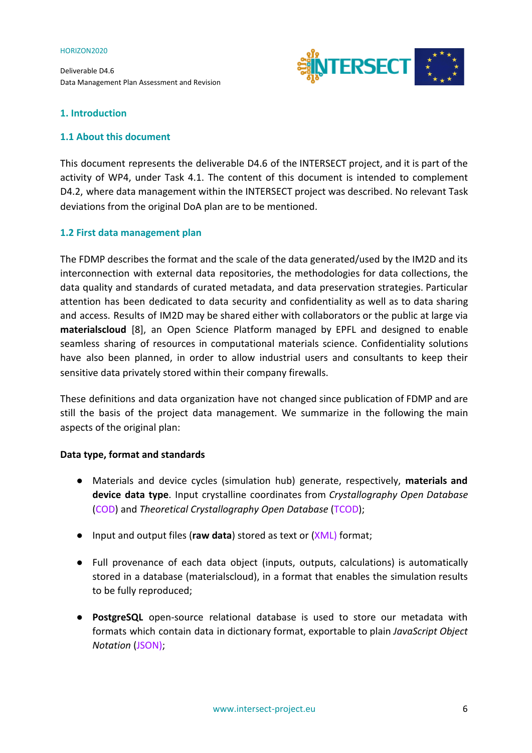Deliverable D4.6 Data Management Plan Assessment and Revision



# <span id="page-5-0"></span>**1. Introduction**

# <span id="page-5-1"></span>**1.1 About this document**

This document represents the deliverable D4.6 of the INTERSECT project, and it is part of the activity of WP4, under Task 4.1. The content of this document is intended to complement D4.2, where data management within the INTERSECT project was described. No relevant Task deviations from the original DoA plan are to be mentioned.

# <span id="page-5-2"></span>**1.2 First data management plan**

The FDMP describes the format and the scale of the data generated/used by the IM2D and its interconnection with external data repositories, the methodologies for data collections, the data quality and standards of curated metadata, and data preservation strategies. Particular attention has been dedicated to data security and confidentiality as well as to data sharing and access. Results of IM2D may be shared either with collaborators or the public at large via **materialscloud** [8], an Open Science Platform managed by EPFL and designed to enable seamless sharing of resources in computational materials science. Confidentiality solutions have also been planned, in order to allow industrial users and consultants to keep their sensitive data privately stored within their company firewalls.

These definitions and data organization have not changed since publication of FDMP and are still the basis of the project data management. We summarize in the following the main aspects of the original plan:

# **Data type, format and standards**

- Materials and device cycles (simulation hub) generate, respectively, **materials and device data type**. Input crystalline coordinates from *Crystallography Open Database* (COD) and *Theoretical Crystallography Open Database* (TCOD);
- Input and output files (**raw data**) stored as text or (XML) format;
- Full provenance of each data object (inputs, outputs, calculations) is automatically stored in a database (materialscloud), in a format that enables the simulation results to be fully reproduced;
- **PostgreSQL** open-source relational database is used to store our metadata with formats which contain data in dictionary format, exportable to plain *JavaScript Object Notation* (JSON);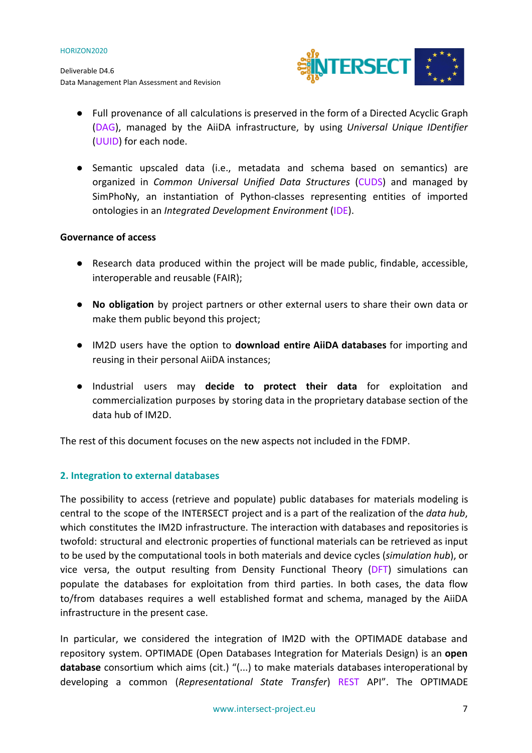

- Full provenance of all calculations is preserved in the form of a Directed Acyclic Graph (DAG), managed by the AiiDA infrastructure, by using *Universal Unique IDentifier* (UUID) for each node.
- Semantic upscaled data (i.e., metadata and schema based on semantics) are organized in *Common Universal Unified Data Structures* (CUDS) and managed by SimPhoNy, an instantiation of Python-classes representing entities of imported ontologies in an *Integrated Development Environment* (IDE).

# **Governance of access**

- Research data produced within the project will be made public, findable, accessible, interoperable and reusable (FAIR);
- **No obligation** by project partners or other external users to share their own data or make them public beyond this project;
- IM2D users have the option to **download entire AiiDA databases** for importing and reusing in their personal AiiDA instances;
- Industrial users may **decide to protect their data** for exploitation and commercialization purposes by storing data in the proprietary database section of the data hub of IM2D.

The rest of this document focuses on the new aspects not included in the FDMP.

# <span id="page-6-0"></span>**2. Integration to external databases**

The possibility to access (retrieve and populate) public databases for materials modeling is central to the scope of the INTERSECT project and is a part of the realization of the *data hub*, which constitutes the IM2D infrastructure. The interaction with databases and repositories is twofold: structural and electronic properties of functional materials can be retrieved as input to be used by the computational tools in both materials and device cycles (*simulation hub*), or vice versa, the output resulting from Density Functional Theory (DFT) simulations can populate the databases for exploitation from third parties. In both cases, the data flow to/from databases requires a well established format and schema, managed by the AiiDA infrastructure in the present case.

In particular, we considered the integration of IM2D with the OPTIMADE database and repository system. OPTIMADE (Open Databases Integration for Materials Design) is an **open database** consortium which aims (cit.) "(...) to make materials databases interoperational by developing a common (*Representational State Transfer*) REST API". The OPTIMADE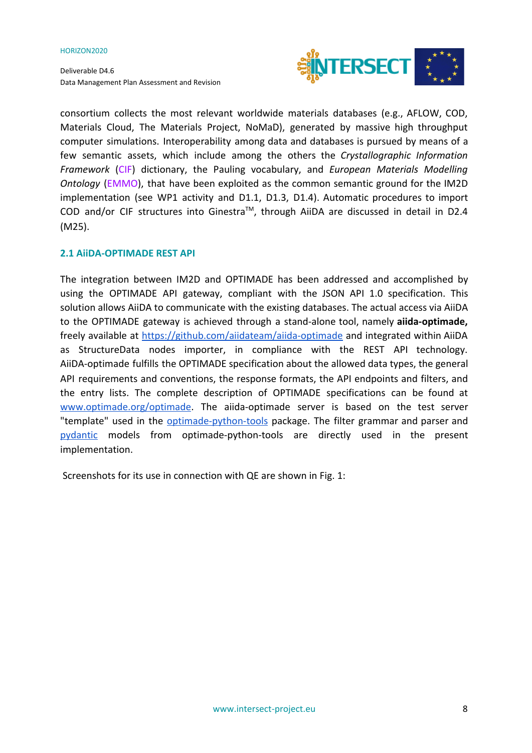Deliverable D4.6 Data Management Plan Assessment and Revision



consortium collects the most relevant worldwide materials databases (e.g., AFLOW, COD, Materials Cloud, The Materials Project, NoMaD), generated by massive high throughput computer simulations. Interoperability among data and databases is pursued by means of a few semantic assets, which include among the others the *Crystallographic Information Framework* (CIF) dictionary, the Pauling vocabulary, and *European Materials Modelling Ontology* (EMMO), that have been exploited as the common semantic ground for the IM2D implementation (see WP1 activity and D1.1, D1.3, D1.4). Automatic procedures to import COD and/or CIF structures into Ginestra<sup>™</sup>, through AiiDA are discussed in detail in D2.4 (M25).

# <span id="page-7-0"></span>**2.1 AiiDA-OPTIMADE REST API**

The integration between IM2D and OPTIMADE has been addressed and accomplished by using the OPTIMADE API gateway, compliant with the JSON API 1.0 specification. This solution allows AiiDA to communicate with the existing databases. The actual access via AiiDA to the OPTIMADE gateway is achieved through a stand-alone tool, namely **aiida-optimade,** freely available at <https://github.com/aiidateam/aiida-optimade> and integrated within AiiDA as StructureData nodes importer, in compliance with the REST API technology. AiiDA-optimade fulfills the OPTIMADE specification about the allowed data types, the general API requirements and conventions, the response formats, the API endpoints and filters, and the entry lists. The complete description of OPTIMADE specifications can be found at [www.optimade.org/optimade](http://www.optimade.org/optimade). The aiida-optimade server is based on the test server "template" used in the [optimade-python-tools](https://github.com/Materials-Consortia/optimade-python-tools) package. The filter grammar and parser and [pydantic](https://pydantic-docs.helpmanual.io/) models from optimade-python-tools are directly used in the present implementation.

Screenshots for its use in connection with QE are shown in Fig. 1: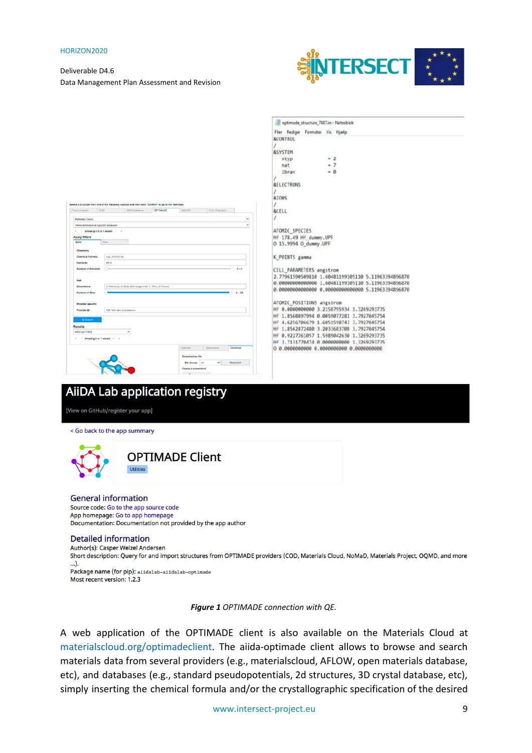## Deliverable D4.6 Data Management Plan Assessment and Revision



|                                                                                                         | optimade_structure_7487.in - Notesblok                                                                                                     |
|---------------------------------------------------------------------------------------------------------|--------------------------------------------------------------------------------------------------------------------------------------------|
|                                                                                                         | Fler Rediger Formater Vis Hjælp                                                                                                            |
|                                                                                                         | <b>&amp;CONTROL</b>                                                                                                                        |
|                                                                                                         | <b>&amp;SYSTEM</b>                                                                                                                         |
|                                                                                                         | $-2$<br>ntyp                                                                                                                               |
|                                                                                                         | $-7$<br>nat                                                                                                                                |
|                                                                                                         | $-0$<br>ibray                                                                                                                              |
|                                                                                                         | <b>&amp;ELECTRONS</b>                                                                                                                      |
|                                                                                                         | <b>&amp;TONS</b>                                                                                                                           |
| Select a structure from one of the following sources and then click "Confirm" to go to the next step.   |                                                                                                                                            |
| AIDA database OPTIMADE<br>SMLES<br>From Examples<br>000<br>From compaler                                | &CELL                                                                                                                                      |
| $\checkmark$<br>Materials Cloud<br>v<br>Three-dimensional orystals database                             |                                                                                                                                            |
| (Showing 1-5 of 5 results > >                                                                           | ATOMIC SPECIES                                                                                                                             |
| Apply filters<br>Basto                                                                                  | HF 178.49 Hf dunmy, UPF                                                                                                                    |
| Chemistry                                                                                               | 0 15.9994 0_dumny.UPF                                                                                                                      |
| e.g., ps20j2 Na<br><b>Chemical Formula</b>                                                              | K POINTS gamma                                                                                                                             |
| Hf G<br>Elements                                                                                        |                                                                                                                                            |
| Number of Elements<br>$2 - 2$                                                                           | CELL_PARAMETERS angstrom                                                                                                                   |
| Cell                                                                                                    | 2.77961590509810 1.60481199105110 5.11963394896870<br>0.00000000000000 1.60481199105110 5.11963394896870                                   |
| 0: Molecule, D: Blulk, (Not supported: 1: Wire, 2: Planar)<br>Dimensions<br>Number of Sites<br>$2 - 23$ | 0.00000000000000 0.00000000000000 5.11963394896870                                                                                         |
|                                                                                                         |                                                                                                                                            |
| Provider specific<br>Provider ID<br>NB! Will take precedence                                            | ATOMIC_POSITIONS angstrom<br>HF 0.000000000 3.2158795934 1.3269293735                                                                      |
|                                                                                                         | HF 1.8568897994 0.0059077281 3.7927045754                                                                                                  |
| Results                                                                                                 | HF 4.6256706679 1.6051598743 3.7927045754                                                                                                  |
| H160 (kd=7487)<br>$\checkmark$                                                                          | HF 1.8562872480 3.2033683708 3.7927845754                                                                                                  |
| « (Showing 1 of 1 moults ⇒ »                                                                            | HF 0.9227261057 1.5989042630 1.3269293735<br>HF 3.7131770474 0.0000000000 1.3269293735                                                     |
| Арреагатов<br>Selection<br>Download                                                                     |                                                                                                                                            |
| Download as file:                                                                                       |                                                                                                                                            |
| Download<br>File format: cit<br>v<br>Create a screenshot:                                               |                                                                                                                                            |
|                                                                                                         |                                                                                                                                            |
|                                                                                                         |                                                                                                                                            |
| <b>AiiDA Lab application registry</b>                                                                   |                                                                                                                                            |
|                                                                                                         |                                                                                                                                            |
| [View on GitHub/register your app]                                                                      |                                                                                                                                            |
|                                                                                                         |                                                                                                                                            |
|                                                                                                         |                                                                                                                                            |
| < Go back to the app summary                                                                            |                                                                                                                                            |
|                                                                                                         |                                                                                                                                            |
|                                                                                                         |                                                                                                                                            |
| <b>OPTIMADE Client</b>                                                                                  |                                                                                                                                            |
| <b>Utilities</b>                                                                                        |                                                                                                                                            |
|                                                                                                         |                                                                                                                                            |
|                                                                                                         |                                                                                                                                            |
|                                                                                                         |                                                                                                                                            |
| <b>General information</b>                                                                              |                                                                                                                                            |
| Source code: Go to the app source code                                                                  |                                                                                                                                            |
| App homepage: Go to app homepage                                                                        |                                                                                                                                            |
| Documentation: Documentation not provided by the app author                                             |                                                                                                                                            |
|                                                                                                         |                                                                                                                                            |
| <b>Detailed information</b>                                                                             |                                                                                                                                            |
| Author(s): Casper Welzel Andersen                                                                       |                                                                                                                                            |
|                                                                                                         | Short description: Query for and import structures from OPTIMADE providers (COD, Materials Cloud, NoMaD, Materials Project, OQMD, and more |
| ).                                                                                                      |                                                                                                                                            |
| Package name (for pip): aiidalab-aiidalab-optimade                                                      |                                                                                                                                            |
| Most recent version: 1.2.3                                                                              |                                                                                                                                            |
|                                                                                                         |                                                                                                                                            |
|                                                                                                         |                                                                                                                                            |
| Figure 1 OPTIMADE connection with QE.                                                                   |                                                                                                                                            |

A web application of the OPTIMADE client is also available on the Materials Cloud at materialscloud.org/optimadeclient. The aiida-optimade client allows to browse and search materials data from several providers (e.g., materialscloud, AFLOW, open materials database, etc), and databases (e.g., standard pseudopotentials, 2d structures, 3D crystal database, etc), simply inserting the chemical formula and/or the crystallographic specification of the desired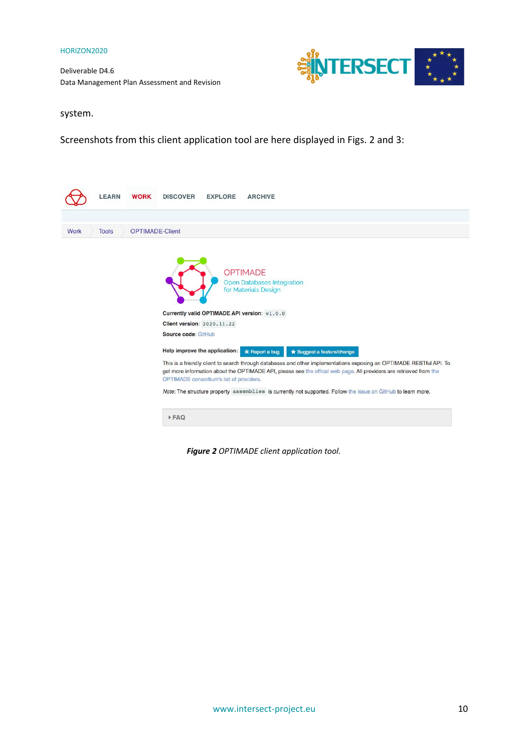Deliverable D4.6 Data Management Plan Assessment and Revision



system.

Screenshots from this client application tool are here displayed in Figs. 2 and 3:



*Figure 2 OPTIMADE client application tool.*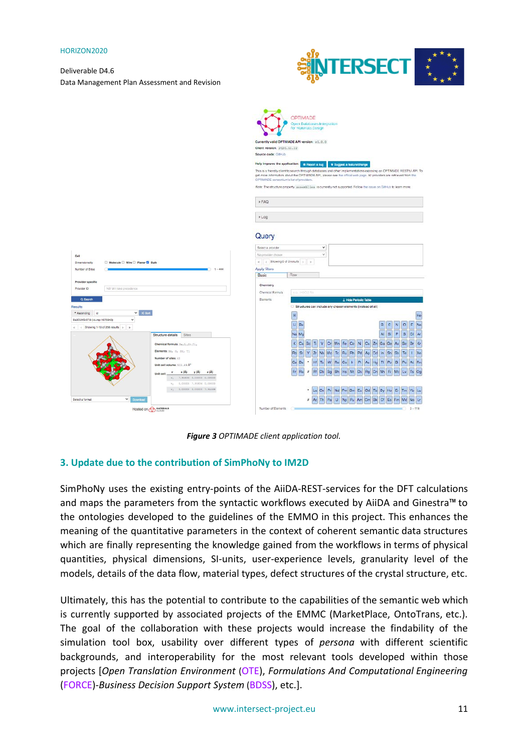Deliverable D4.6 Data Management Plan Assessment and Revision





*Figure 3 OPTIMADE client application tool.*

# <span id="page-10-0"></span>**3. Update due to the contribution of SimPhoNy to IM2D**

SimPhoNy uses the existing entry-points of the AiiDA-REST-services for the DFT calculations and maps the parameters from the syntactic workflows executed by AiiDA and Ginestra™ to the ontologies developed to the guidelines of the EMMO in this project. This enhances the meaning of the quantitative parameters in the context of coherent semantic data structures which are finally representing the knowledge gained from the workflows in terms of physical quantities, physical dimensions, SI-units, user-experience levels, granularity level of the models, details of the data flow, material types, defect structures of the crystal structure, etc.

Ultimately, this has the potential to contribute to the capabilities of the semantic web which is currently supported by associated projects of the EMMC (MarketPlace, OntoTrans, etc.). The goal of the collaboration with these projects would increase the findability of the simulation tool box, usability over different types of *persona* with different scientific backgrounds, and interoperability for the most relevant tools developed within those projects [*Open Translation Environment* (OTE), *Formulations And Computational Engineering* (FORCE)-*Business Decision Support System* (BDSS), etc.].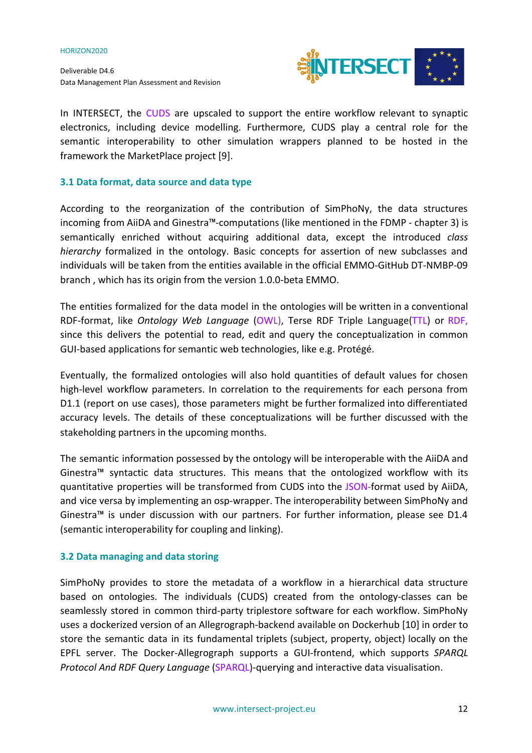Deliverable D4.6 Data Management Plan Assessment and Revision



In INTERSECT, the CUDS are upscaled to support the entire workflow relevant to synaptic electronics, including device modelling. Furthermore, CUDS play a central role for the semantic interoperability to other simulation wrappers planned to be hosted in the framework the MarketPlace project [9].

# <span id="page-11-0"></span>**3.1 Data format, data source and data type**

According to the reorganization of the contribution of SimPhoNy, the data structures incoming from AiiDA and Ginestra™-computations (like mentioned in the FDMP - chapter 3) is semantically enriched without acquiring additional data, except the introduced *class hierarchy* formalized in the ontology. Basic concepts for assertion of new subclasses and individuals will be taken from the entities available in the official EMMO-GitHub DT-NMBP-09 branch , which has its origin from the version 1.0.0-beta EMMO.

The entities formalized for the data model in the ontologies will be written in a conventional RDF-format, like *Ontology Web Language* (OWL), Terse RDF Triple Language(TTL) or RDF, since this delivers the potential to read, edit and query the conceptualization in common GUI-based applications for semantic web technologies, like e.g. Protégé.

Eventually, the formalized ontologies will also hold quantities of default values for chosen high-level workflow parameters. In correlation to the requirements for each persona from D1.1 (report on use cases), those parameters might be further formalized into differentiated accuracy levels. The details of these conceptualizations will be further discussed with the stakeholding partners in the upcoming months.

The semantic information possessed by the ontology will be interoperable with the AiiDA and Ginestra™ syntactic data structures. This means that the ontologized workflow with its quantitative properties will be transformed from CUDS into the JSON-format used by AiiDA, and vice versa by implementing an osp-wrapper. The interoperability between SimPhoNy and Ginestra™ is under discussion with our partners. For further information, please see D1.4 (semantic interoperability for coupling and linking).

# <span id="page-11-1"></span>**3.2 Data managing and data storing**

SimPhoNy provides to store the metadata of a workflow in a hierarchical data structure based on ontologies. The individuals (CUDS) created from the ontology-classes can be seamlessly stored in common third-party triplestore software for each workflow. SimPhoNy uses a dockerized version of an Allegrograph-backend available on Dockerhub [10] in order to store the semantic data in its fundamental triplets (subject, property, object) locally on the EPFL server. The Docker-Allegrograph supports a GUI-frontend, which supports *SPARQL Protocol And RDF Query Language* (SPARQL)-querying and interactive data visualisation.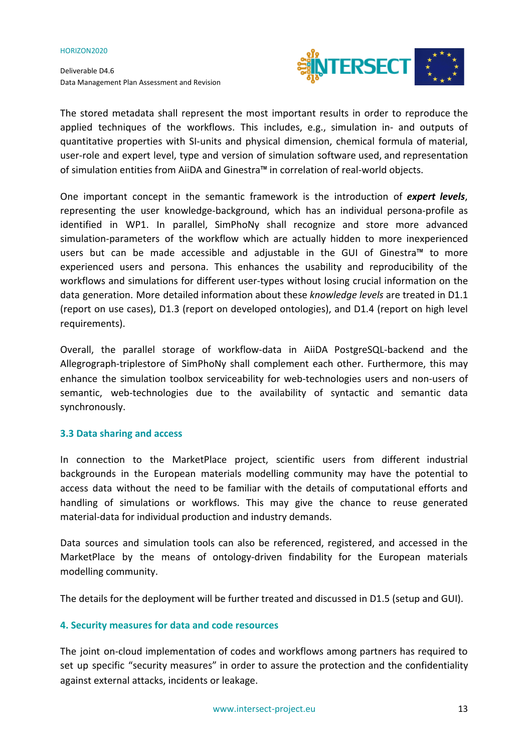Deliverable D4.6 Data Management Plan Assessment and Revision



The stored metadata shall represent the most important results in order to reproduce the applied techniques of the workflows. This includes, e.g., simulation in- and outputs of quantitative properties with SI-units and physical dimension, chemical formula of material, user-role and expert level, type and version of simulation software used, and representation of simulation entities from AiiDA and Ginestra™ in correlation of real-world objects.

One important concept in the semantic framework is the introduction of *expert levels*, representing the user knowledge-background, which has an individual persona-profile as identified in WP1. In parallel, SimPhoNy shall recognize and store more advanced simulation-parameters of the workflow which are actually hidden to more inexperienced users but can be made accessible and adjustable in the GUI of Ginestra™ to more experienced users and persona. This enhances the usability and reproducibility of the workflows and simulations for different user-types without losing crucial information on the data generation. More detailed information about these *knowledge levels* are treated in D1.1 (report on use cases), D1.3 (report on developed ontologies), and D1.4 (report on high level requirements).

Overall, the parallel storage of workflow-data in AiiDA PostgreSQL-backend and the Allegrograph-triplestore of SimPhoNy shall complement each other. Furthermore, this may enhance the simulation toolbox serviceability for web-technologies users and non-users of semantic, web-technologies due to the availability of syntactic and semantic data synchronously.

# <span id="page-12-0"></span>**3.3 Data sharing and access**

In connection to the MarketPlace project, scientific users from different industrial backgrounds in the European materials modelling community may have the potential to access data without the need to be familiar with the details of computational efforts and handling of simulations or workflows. This may give the chance to reuse generated material-data for individual production and industry demands.

Data sources and simulation tools can also be referenced, registered, and accessed in the MarketPlace by the means of ontology-driven findability for the European materials modelling community.

The details for the deployment will be further treated and discussed in D1.5 (setup and GUI).

# <span id="page-12-1"></span>**4. Security measures for data and code resources**

The joint on-cloud implementation of codes and workflows among partners has required to set up specific "security measures" in order to assure the protection and the confidentiality against external attacks, incidents or leakage.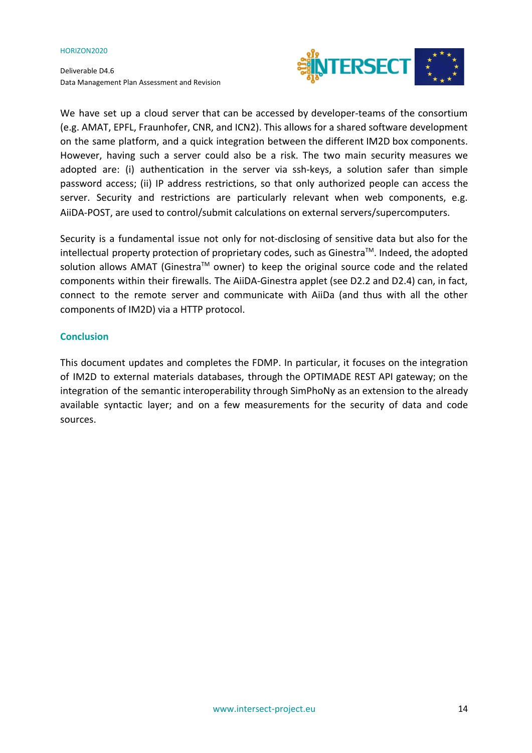Deliverable D4.6 Data Management Plan Assessment and Revision



We have set up a cloud server that can be accessed by developer-teams of the consortium (e.g. AMAT, EPFL, Fraunhofer, CNR, and ICN2). This allows for a shared software development on the same platform, and a quick integration between the different IM2D box components. However, having such a server could also be a risk. The two main security measures we adopted are: (i) authentication in the server via ssh-keys, a solution safer than simple password access; (ii) IP address restrictions, so that only authorized people can access the server. Security and restrictions are particularly relevant when web components, e.g. AiiDA-POST, are used to control/submit calculations on external servers/supercomputers.

Security is a fundamental issue not only for not-disclosing of sensitive data but also for the intellectual property protection of proprietary codes, such as Ginestra™. Indeed, the adopted solution allows AMAT (Ginestra™ owner) to keep the original source code and the related components within their firewalls. The AiiDA-Ginestra applet (see D2.2 and D2.4) can, in fact, connect to the remote server and communicate with AiiDa (and thus with all the other components of IM2D) via a HTTP protocol.

## <span id="page-13-0"></span>**Conclusion**

This document updates and completes the FDMP. In particular, it focuses on the integration of IM2D to external materials databases, through the OPTIMADE REST API gateway; on the integration of the semantic interoperability through SimPhoNy as an extension to the already available syntactic layer; and on a few measurements for the security of data and code sources.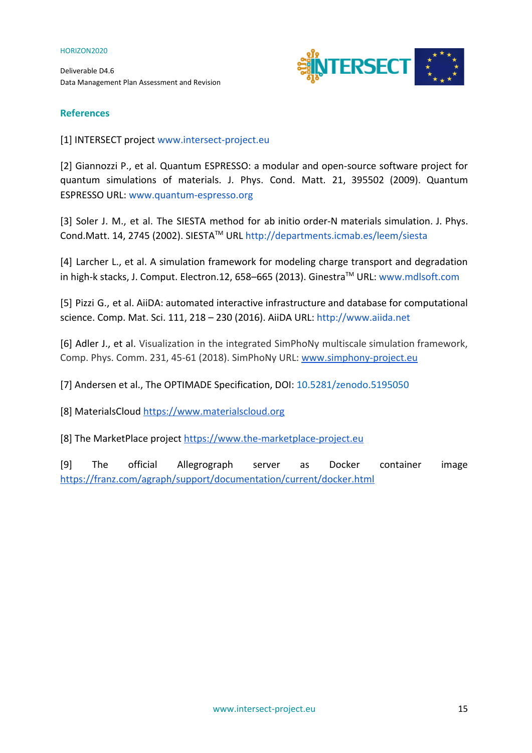Deliverable D4.6 Data Management Plan Assessment and Revision



# <span id="page-14-0"></span>**References**

[1] INTERSECT project [www.intersect-project.eu](http://www.intersect-project.eu/)

[2] Giannozzi P., et al. Quantum ESPRESSO: a modular and open-source software project for quantum simulations of materials. J. Phys. Cond. Matt. 21, 395502 (2009). Quantum ESPRESSO URL: [www.quantum-espresso.org](http://www.quantum-espresso.org/)

[3] Soler J. M., et al. The SIESTA method for ab initio order-N materials simulation. J. Phys. Cond.Matt. 14, 2745 (2002). SIESTATM URL<http://departments.icmab.es/leem/siesta>

[4] Larcher L., et al. A simulation framework for modeling charge transport and degradation in high-k stacks, J. Comput. Electron.12, 658–665 (2013). Ginestra™ URL: [www.mdlsoft.com](http://www.mdlsoft.com/)

[5] Pizzi G., et al. AiiDA: automated interactive infrastructure and database for computational science. Comp. Mat. Sci. 111, 218 – 230 (2016). AiiDA URL: [http://www.aiida.net](http://www.aiida.net/)

[6] Adler J., et al. [Visualization](https://www.sciencedirect.com/science/article/pii/S0010465518301589) in the integrated SimPhoNy multiscale simulation framework, [Comp. Phys. Comm. 231, 45-61 \(2018\). SimPhoNy URL:](https://www.sciencedirect.com/science/article/pii/S0010465518301589) [www.simphony-project.eu](http://www.simphony-project.eu/)

[7] Andersen et al., The OPTIMADE Specification, DOI: 10.5281/zenodo.5195050

[8] MaterialsCloud [https://www.materialscloud.org](https://www.materialscloud.org/)

[8] The MarketPlace project [https://www.the-marketplace-project.eu](https://www.the-marketplace-project.eu/)

[9] The official Allegrograph server as Docker container image <https://franz.com/agraph/support/documentation/current/docker.html>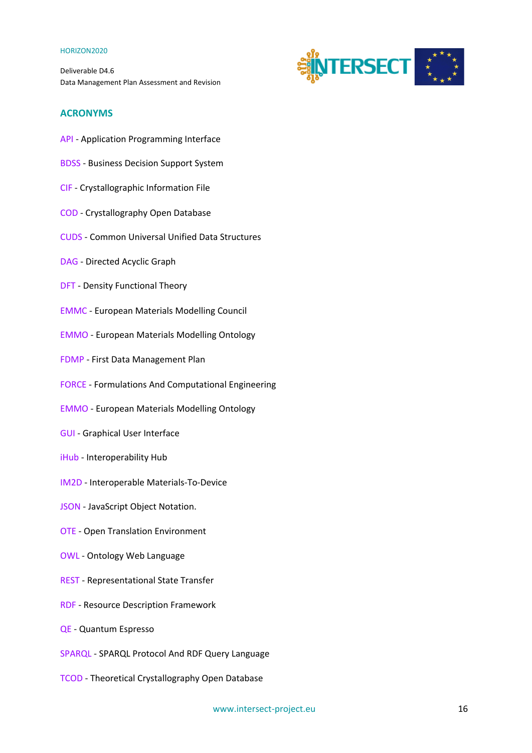Deliverable D4.6 Data Management Plan Assessment and Revision



## <span id="page-15-0"></span>**ACRONYMS**

- API Application Programming Interface
- BDSS Business Decision Support System
- CIF Crystallographic Information File
- COD Crystallography Open Database
- CUDS Common Universal Unified Data Structures
- DAG Directed Acyclic Graph
- DFT Density Functional Theory
- EMMC European Materials Modelling Council
- EMMO European Materials Modelling Ontology
- FDMP First Data Management Plan
- FORCE Formulations And Computational Engineering
- EMMO European Materials Modelling Ontology
- GUI Graphical User Interface
- iHub Interoperability Hub
- IM2D Interoperable Materials-To-Device
- JSON JavaScript Object Notation.
- OTE Open Translation Environment
- OWL Ontology Web Language
- REST Representational State Transfer
- RDF Resource Description Framework
- QE Quantum Espresso
- SPARQL SPARQL Protocol And RDF Query Language
- TCOD Theoretical Crystallography Open Database